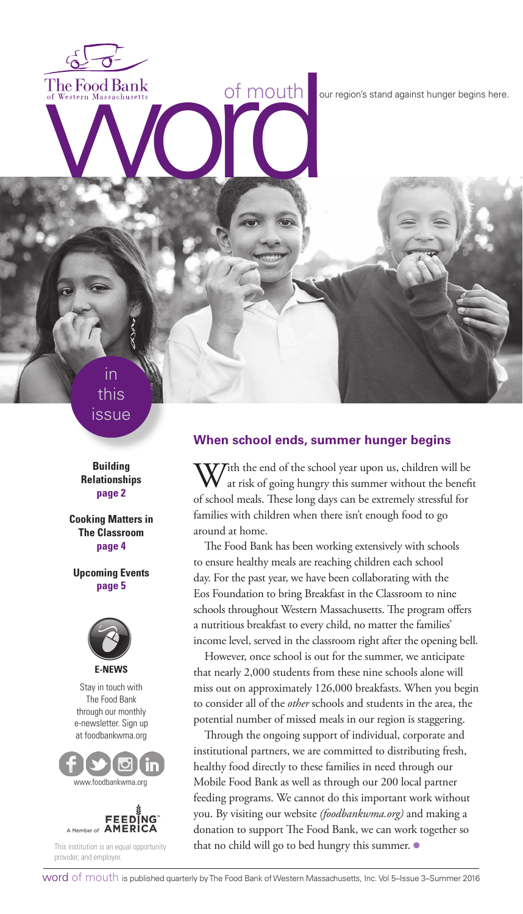The Food Bank<br>of Western Massachusetts<br> **Western Massachusetts**<br> **Western Massachusetts**<br> **Condition**<br> **Condition**<br> **Condition**<br> **Condition**<br> **Condition**<br> **Condition**<br> **Condition** 

in this issue

**Building Relationships page 2**

**Cooking Matters in The Classroom page 4**

**Upcoming Events page 5**



Stay in touch with The Food Bank through our monthly e-newsletter. Sign up at foodbankwma.org





This institution is an equal opportunity provider, and employer.

#### **When school ends, summer hunger begins**

With the end of the school year upon us, children will be at risk of going hungry this summer without the benefit of school meals. These long days can be extremely stressful for families with children when there isn't enough food to go around at home.

The Food Bank has been working extensively with schools to ensure healthy meals are reaching children each school day. For the past year, we have been collaborating with the Eos Foundation to bring Breakfast in the Classroom to nine schools throughout Western Massachusetts. The program offers a nutritious breakfast to every child, no matter the families' income level, served in the classroom right after the opening bell.

However, once school is out for the summer, we anticipate that nearly 2,000 students from these nine schools alone will miss out on approximately 126,000 breakfasts. When you begin to consider all of the *other* schools and students in the area, the potential number of missed meals in our region is staggering.

Through the ongoing support of individual, corporate and institutional partners, we are committed to distributing fresh, healthy food directly to these families in need through our Mobile Food Bank as well as through our 200 local partner feeding programs. We cannot do this important work without you. By visiting our website *(foodbankwma.org)* and making a donation to support The Food Bank, we can work together so that no child will go to bed hungry this summer. ●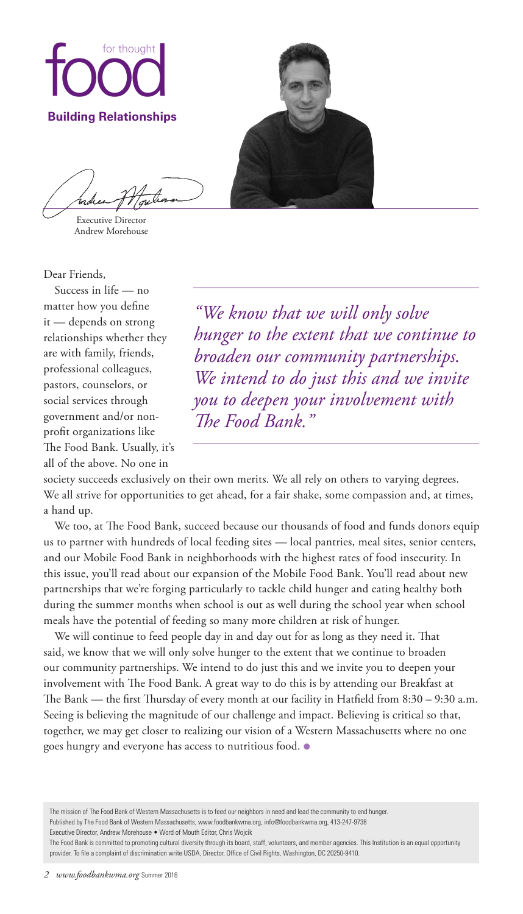

Andrew Morehouse

Executive Director

Dear Friends,

Success in life — no matter how you define it — depends on strong relationships whether they are with family, friends, professional colleagues, pastors, counselors, or social services through government and/or nonprofit organizations like The Food Bank. Usually, it's all of the above. No one in

*"We know that we will only solve hunger to the extent that we continue to broaden our community partnerships. We intend to do just this and we invite you to deepen your involvement with The Food Bank."*

society succeeds exclusively on their own merits. We all rely on others to varying degrees. We all strive for opportunities to get ahead, for a fair shake, some compassion and, at times, a hand up.

We too, at The Food Bank, succeed because our thousands of food and funds donors equip us to partner with hundreds of local feeding sites — local pantries, meal sites, senior centers, and our Mobile Food Bank in neighborhoods with the highest rates of food insecurity. In this issue, you'll read about our expansion of the Mobile Food Bank. You'll read about new partnerships that we're forging particularly to tackle child hunger and eating healthy both during the summer months when school is out as well during the school year when school meals have the potential of feeding so many more children at risk of hunger.

We will continue to feed people day in and day out for as long as they need it. That said, we know that we will only solve hunger to the extent that we continue to broaden our community partnerships. We intend to do just this and we invite you to deepen your involvement with The Food Bank. A great way to do this is by attending our Breakfast at The Bank — the first Thursday of every month at our facility in Hatfield from 8:30 – 9:30 a.m. Seeing is believing the magnitude of our challenge and impact. Believing is critical so that, together, we may get closer to realizing our vision of a Western Massachusetts where no one goes hungry and everyone has access to nutritious food. ●

The mission of The Food Bank of Western Massachusetts is to feed our neighbors in need and lead the community to end hunger. Published by The Food Bank of Western Massachusetts, www.foodbankwma.org, info@foodbankwma.org, 413-247-9738 Executive Director, Andrew Morehouse • Word of Mouth Editor, Chris Wojcik

The Food Bank is committed to promoting cultural diversity through its board, staff, volunteers, and member agencies. This Institution is an equal opportunity provider. To file a complaint of discrimination write USDA, Director, Office of Civil Rights, Washington, DC 20250-9410.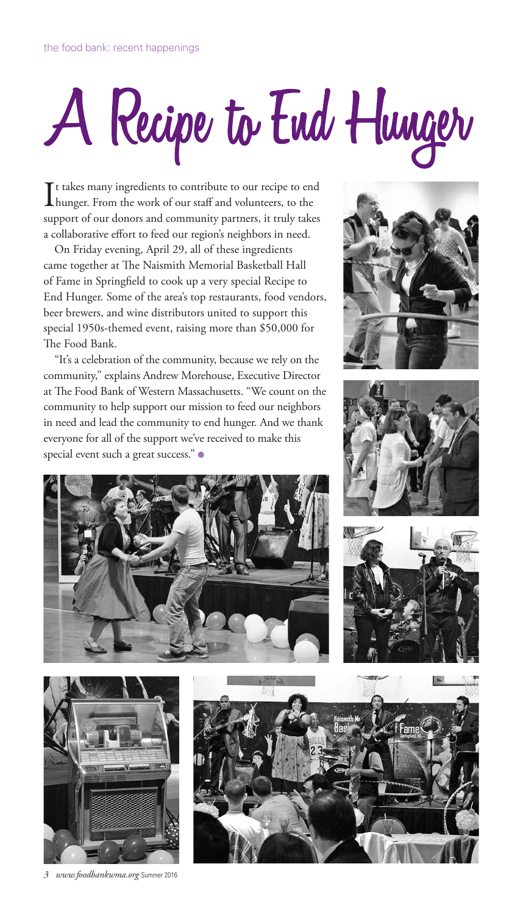# A Recipe to End Hunger

It takes many ingredients to contribute to our recipe to end<br>hunger. From the work of our staff and volunteers, to the hunger. From the work of our staff and volunteers, to the support of our donors and community partners, it truly takes a collaborative effort to feed our region's neighbors in need.

On Friday evening, April 29, all of these ingredients came together at The Naismith Memorial Basketball Hall of Fame in Springfield to cook up a very special Recipe to End Hunger. Some of the area's top restaurants, food vendors, beer brewers, and wine distributors united to support this special 1950s-themed event, raising more than \$50,000 for The Food Bank.

"It's a celebration of the community, because we rely on the community," explains Andrew Morehouse, Executive Director at The Food Bank of Western Massachusetts. "We count on the community to help support our mission to feed our neighbors in need and lead the community to end hunger. And we thank everyone for all of the support we've received to make this special event such a great success." ●











*3 www.foodbankwma.org* Summer 2016

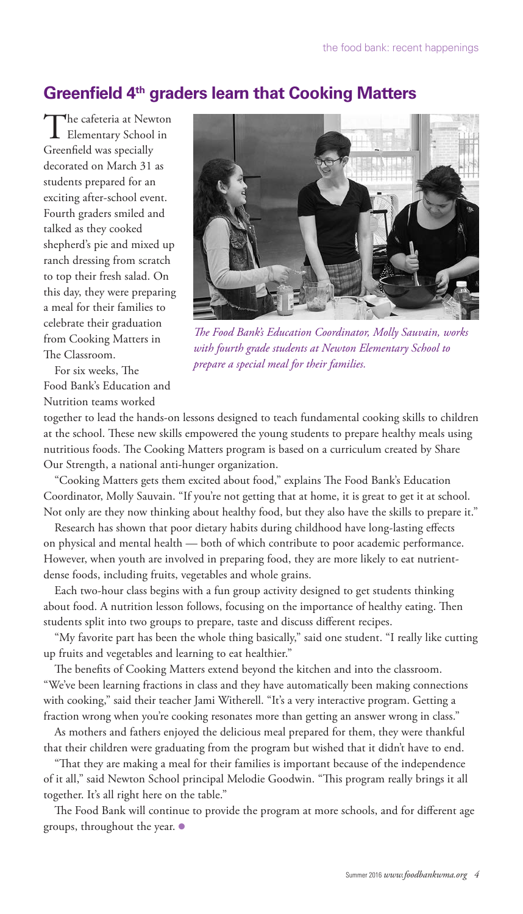# **Greenfield 4th graders learn that Cooking Matters**

The cafeteria at Newton<br>Elementary School in Greenfield was specially decorated on March 31 as students prepared for an exciting after-school event. Fourth graders smiled and talked as they cooked shepherd's pie and mixed up ranch dressing from scratch to top their fresh salad. On this day, they were preparing a meal for their families to celebrate their graduation from Cooking Matters in The Classroom.

For six weeks, The Food Bank's Education and Nutrition teams worked



*The Food Bank's Education Coordinator, Molly Sauvain, works with fourth grade students at Newton Elementary School to prepare a special meal for their families.* 

together to lead the hands-on lessons designed to teach fundamental cooking skills to children at the school. These new skills empowered the young students to prepare healthy meals using nutritious foods. The Cooking Matters program is based on a curriculum created by Share Our Strength, a national anti-hunger organization.

"Cooking Matters gets them excited about food," explains The Food Bank's Education Coordinator, Molly Sauvain. "If you're not getting that at home, it is great to get it at school. Not only are they now thinking about healthy food, but they also have the skills to prepare it."

Research has shown that poor dietary habits during childhood have long-lasting effects on physical and mental health — both of which contribute to poor academic performance. However, when youth are involved in preparing food, they are more likely to eat nutrientdense foods, including fruits, vegetables and whole grains.

Each two-hour class begins with a fun group activity designed to get students thinking about food. A nutrition lesson follows, focusing on the importance of healthy eating. Then students split into two groups to prepare, taste and discuss different recipes.

"My favorite part has been the whole thing basically," said one student. "I really like cutting up fruits and vegetables and learning to eat healthier."

The benefits of Cooking Matters extend beyond the kitchen and into the classroom. "We've been learning fractions in class and they have automatically been making connections with cooking," said their teacher Jami Witherell. "It's a very interactive program. Getting a fraction wrong when you're cooking resonates more than getting an answer wrong in class."

As mothers and fathers enjoyed the delicious meal prepared for them, they were thankful that their children were graduating from the program but wished that it didn't have to end.

"That they are making a meal for their families is important because of the independence of it all," said Newton School principal Melodie Goodwin. "This program really brings it all together. It's all right here on the table."

The Food Bank will continue to provide the program at more schools, and for different age groups, throughout the year. ●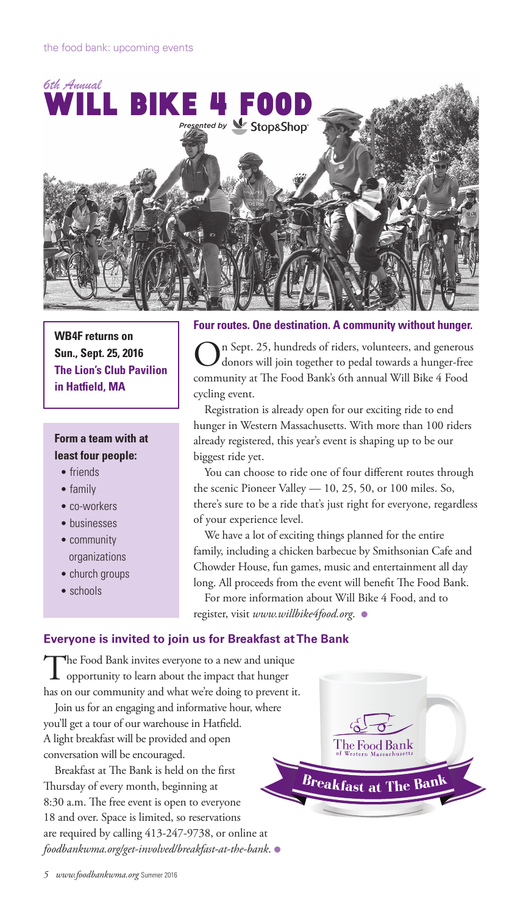

**WB4F returns on Sun., Sept. 25, 2016 The Lion's Club Pavilion in Hatfield, MA**

## **Form a team with at least four people:**

- friends
- family
- co-workers
- businesses
- community organizations
- church groups
- schools
- 

#### **Four routes. One destination. A community without hunger.**

On Sept. 25, hundreds of riders, volunteers, and generous donors will join together to pedal towards a hunger-free community at The Food Bank's 6th annual Will Bike 4 Food cycling event.

Registration is already open for our exciting ride to end hunger in Western Massachusetts. With more than 100 riders already registered, this year's event is shaping up to be our biggest ride yet.

You can choose to ride one of four different routes through the scenic Pioneer Valley — 10, 25, 50, or 100 miles. So, there's sure to be a ride that's just right for everyone, regardless of your experience level.

We have a lot of exciting things planned for the entire family, including a chicken barbecue by Smithsonian Cafe and Chowder House, fun games, music and entertainment all day long. All proceeds from the event will benefit The Food Bank.

For more information about Will Bike 4 Food, and to register, visit *www.willbike4food.org*. ●

#### **Everyone is invited to join us for Breakfast at The Bank**

The Food Bank invites everyone to a new and unique opportunity to learn about the impact that hunger has on our community and what we're doing to prevent it.

Join us for an engaging and informative hour, where you'll get a tour of our warehouse in Hatfield. A light breakfast will be provided and open conversation will be encouraged.

Breakfast at The Bank is held on the first Thursday of every month, beginning at 8:30 a.m. The free event is open to everyone 18 and over. Space is limited, so reservations are required by calling 413-247-9738, or online at *foodbankwma.org/get-involved/breakfast-at-the-bank*. ●